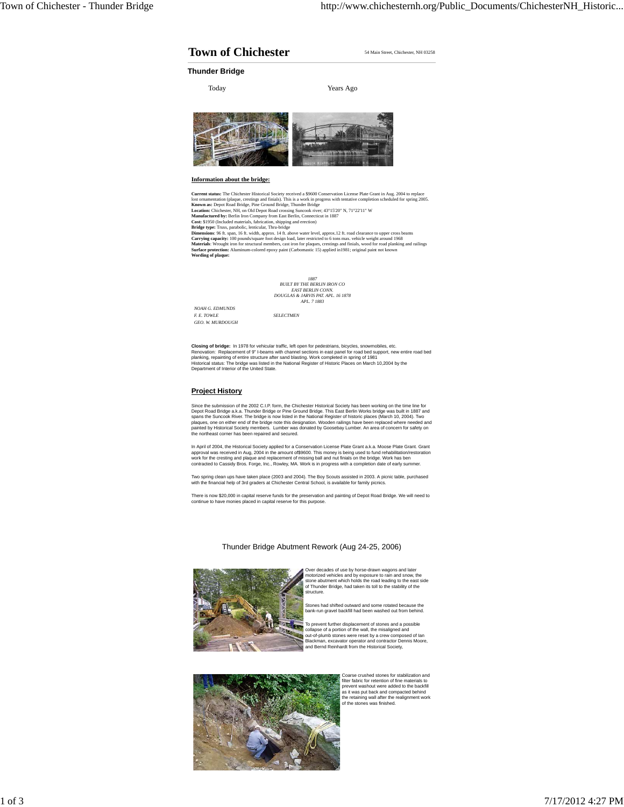## **Town of Chichester** 54 Main Street, Chichester, NH 03258

**Thunder Bridge**

Today Years Ago



## **Information about the bridge:**

Current status: The Chichester Historical Society received a \$9600 Conservation License Plate Grant in Aug. 2004 to replace<br>lost oranmentation (plaque, crestings and finials). This is a work in progress with tentative comp

*1887 BUILT BY THE BERLIN IRON CO EAST BERLIN CONN. DOUGLAS & JARVIS PAT. APL. 16 1878 APL. 7 1883*

*NOAH G. EDMUNDS F. E. TOWLE SELECTMEN GEO. W. MURDOUGH*

Closing of bridge: In 1978 for vehicular traffic, left open for pedestrians, bicycles, snowmobiles, etc.<br>Renovation: Replacement of 9" l-beams with channel sections in east panel for road bed support, new entire road bed<br>p

## **Project History**

Since the submission of the 2002 C.I.P. form, the Chichester Historical Society has been working on the time for<br>Deport Road Bridge a.k.a. Thunder Bridge or Pine Ground Bridge. This East Berlin Works bridge was built in 18 the northeast corner has been repaired and secured.

In April of 2004, the Historical Society applied for a Conservation License Plate Grant a.k.a. Moose Plate Grant. Grant<br>approval was received in Aug, 2004 in the amount of\$9600. This money is being used to fund rehabilitat work for the cresting and plaque and replacement of missing ball and nut finials on the bridge. Work has ben contracted to Cassidy Bros. Forge, Inc., Rowley, MA. Work is in progress with a completion date of early summer.

Two spring clean ups have taken place (2003 and 2004). The Boy Scouts assisted in 2003. A picnic table, purchased with the financial help of 3rd graders at Chichester Central School, is available for family picnic

There is now \$20,000 in capital reserve funds for the preservation and painting of Depot Road Bridge. We will need to continue to have monies placed in capital reserve for this purpose.



Thunder Bridge Abutment Rework (Aug 24-25, 2006)

Over decades of use by horse-drawn wagons and later<br>motorized vehicles and by exposure to rain and snow, the<br>stone abutment which holds the road leading to the east side<br>of Thunder Bridge, had taken its toll to the stabili structure.

Stones had shifted outward and some rotated because the bank-run gravel backfill had been washed out from behind.

To prevent further displacement of stones and a possible<br>collapse of a portion of the wall, the misaligned and<br>out-of-plumb stones were reset by a crew composed of lan<br>Blackman, excavator operator and contractor Dennis Moo



Coarse crushed stones for stabilization and<br>filter fabric for retention of fine materials to<br>prevent washout were added to the backfill<br>as it was put back and compacted behind<br>the retaining wall after the realignment work<br>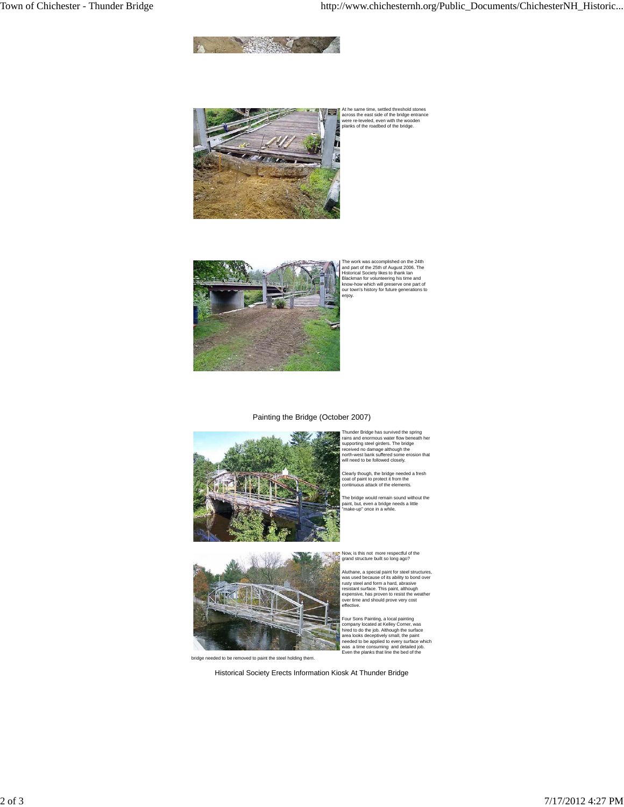



At he same time, settled threshold stones across the east side of the bridge entrance were re-leveled, even with the wooden planks of the roadbed of the bridge.



The work was accomplished on the 24th and part of the 25th of August 2006. The Historical Society likes to thank Ian Blackman for volunteering his time and know-how which will preserve one part of our town's history for future generations to enjoy.

## Painting the Bridge (October 2007)



Thunder Bridge has survived the spring<br>rains and enormous water flow beneath her<br>supporting steel girders. The bridge<br>received no damage although the<br>north-west bank suffered some erosion that<br>will need to be followed clos

Clearly though, the bridge needed a fresh coat of paint to protect it from the continuous attack of the elements.

The bridge would remain sound without the paint, but, even a bridge needs a little "make-up" once in a while.

Now, is this not more respectful of the grand structure built so long ago?

effective.

Aluthane, a special paint for steel structures,<br>was used because of its ability to bond over<br>rusty steel and form a hard, abrasive<br>resistant surface. This paint, although<br>expensive, has proven to resist the weather<br>over ti

Four Sons Painting, a local painting<br>company located at Kelley Corner, was<br>hired to do the job. Although the surface<br>area looks deceptively small, the paint<br>needed to be applied to every surface which<br>was a time consuming



bridge needed to be removed to paint the steel holding them.

Historical Society Erects Information Kiosk At Thunder Bridge